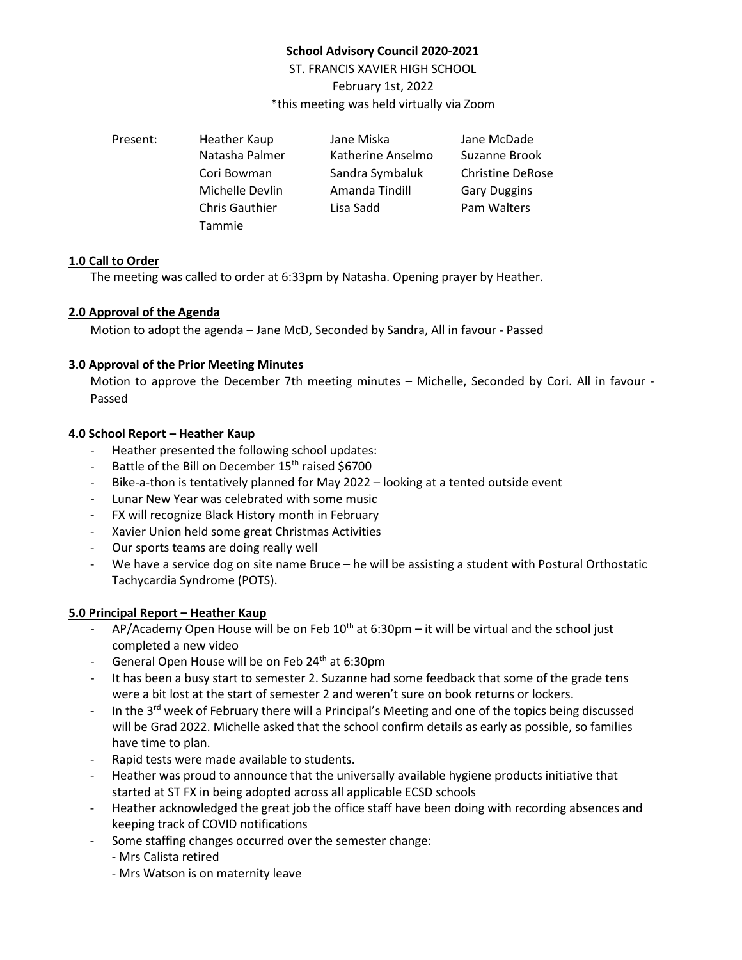# **School Advisory Council 2020-2021**

ST. FRANCIS XAVIER HIGH SCHOOL February 1st, 2022 \*this meeting was held virtually via Zoom

| Present: | Heather Kaup          | Jane Miska        | Jane McDade             |
|----------|-----------------------|-------------------|-------------------------|
|          | Natasha Palmer        | Katherine Anselmo | Suzanne Brook           |
|          | Cori Bowman           | Sandra Symbaluk   | <b>Christine DeRose</b> |
|          | Michelle Devlin       | Amanda Tindill    | <b>Gary Duggins</b>     |
|          | <b>Chris Gauthier</b> | Lisa Sadd         | Pam Walters             |
|          | <b>Tammie</b>         |                   |                         |

#### **1.0 Call to Order**

The meeting was called to order at 6:33pm by Natasha. Opening prayer by Heather.

## **2.0 Approval of the Agenda**

Motion to adopt the agenda – Jane McD, Seconded by Sandra, All in favour - Passed

## **3.0 Approval of the Prior Meeting Minutes**

Motion to approve the December 7th meeting minutes – Michelle, Seconded by Cori. All in favour - Passed

## **4.0 School Report – Heather Kaup**

- Heather presented the following school updates:
- Battle of the Bill on December 15<sup>th</sup> raised \$6700
- Bike-a-thon is tentatively planned for May 2022 looking at a tented outside event
- Lunar New Year was celebrated with some music
- FX will recognize Black History month in February
- Xavier Union held some great Christmas Activities
- Our sports teams are doing really well
- We have a service dog on site name Bruce he will be assisting a student with Postural Orthostatic Tachycardia Syndrome (POTS).

# **5.0 Principal Report – Heather Kaup**

- AP/Academy Open House will be on Feb  $10^{th}$  at 6:30pm it will be virtual and the school just completed a new video
- General Open House will be on Feb 24<sup>th</sup> at 6:30pm
- It has been a busy start to semester 2. Suzanne had some feedback that some of the grade tens were a bit lost at the start of semester 2 and weren't sure on book returns or lockers.
- In the  $3<sup>rd</sup>$  week of February there will a Principal's Meeting and one of the topics being discussed will be Grad 2022. Michelle asked that the school confirm details as early as possible, so families have time to plan.
- Rapid tests were made available to students.
- Heather was proud to announce that the universally available hygiene products initiative that started at ST FX in being adopted across all applicable ECSD schools
- Heather acknowledged the great job the office staff have been doing with recording absences and keeping track of COVID notifications
- Some staffing changes occurred over the semester change:
	- Mrs Calista retired
	- Mrs Watson is on maternity leave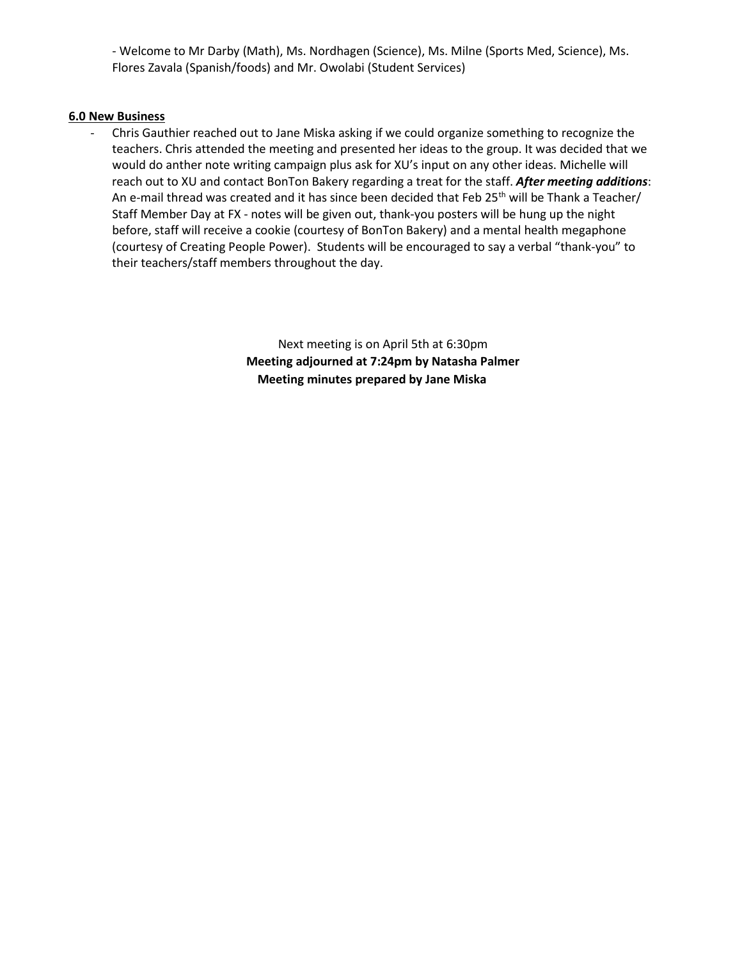- Welcome to Mr Darby (Math), Ms. Nordhagen (Science), Ms. Milne (Sports Med, Science), Ms. Flores Zavala (Spanish/foods) and Mr. Owolabi (Student Services)

#### **6.0 New Business**

- Chris Gauthier reached out to Jane Miska asking if we could organize something to recognize the teachers. Chris attended the meeting and presented her ideas to the group. It was decided that we would do anther note writing campaign plus ask for XU's input on any other ideas. Michelle will reach out to XU and contact BonTon Bakery regarding a treat for the staff. *After meeting additions*: An e-mail thread was created and it has since been decided that Feb 25<sup>th</sup> will be Thank a Teacher/ Staff Member Day at FX - notes will be given out, thank-you posters will be hung up the night before, staff will receive a cookie (courtesy of BonTon Bakery) and a mental health megaphone (courtesy of Creating People Power). Students will be encouraged to say a verbal "thank-you" to their teachers/staff members throughout the day.

> Next meeting is on April 5th at 6:30pm **Meeting adjourned at 7:24pm by Natasha Palmer Meeting minutes prepared by Jane Miska**